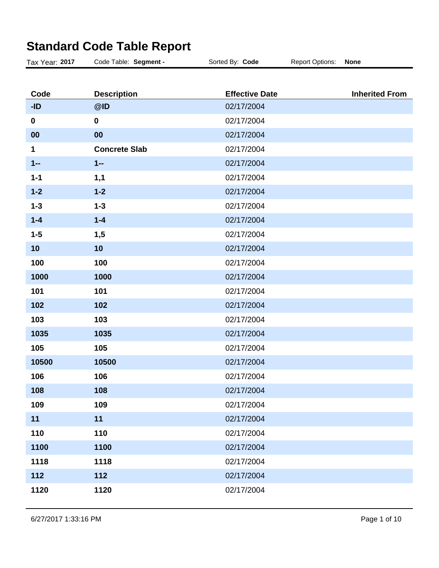| Tax Year: 2017 | Code Table: Segment - | Sorted By: Code       | <b>Report Options:</b> | <b>None</b>           |
|----------------|-----------------------|-----------------------|------------------------|-----------------------|
|                |                       |                       |                        |                       |
| Code           | <b>Description</b>    | <b>Effective Date</b> |                        | <b>Inherited From</b> |
| $-ID$          | @ID                   | 02/17/2004            |                        |                       |
| $\mathbf 0$    | $\mathbf 0$           | 02/17/2004            |                        |                       |
| 00             | 00                    | 02/17/2004            |                        |                       |
| 1              | <b>Concrete Slab</b>  | 02/17/2004            |                        |                       |
| $1 -$          | $1 -$                 | 02/17/2004            |                        |                       |
| $1 - 1$        | 1,1                   | 02/17/2004            |                        |                       |
| $1 - 2$        | $1 - 2$               | 02/17/2004            |                        |                       |
| $1 - 3$        | $1 - 3$               | 02/17/2004            |                        |                       |
| $1 - 4$        | $1 - 4$               | 02/17/2004            |                        |                       |
| $1 - 5$        | 1,5                   | 02/17/2004            |                        |                       |
| 10             | 10                    | 02/17/2004            |                        |                       |
| 100            | 100                   | 02/17/2004            |                        |                       |
| 1000           | 1000                  | 02/17/2004            |                        |                       |
| 101            | 101                   | 02/17/2004            |                        |                       |
| 102            | 102                   | 02/17/2004            |                        |                       |
| 103            | 103                   | 02/17/2004            |                        |                       |
| 1035           | 1035                  | 02/17/2004            |                        |                       |
| 105            | 105                   | 02/17/2004            |                        |                       |
| 10500          | 10500                 | 02/17/2004            |                        |                       |
| 106            | 106                   | 02/17/2004            |                        |                       |
| 108            | 108                   | 02/17/2004            |                        |                       |
| 109            | 109                   | 02/17/2004            |                        |                       |
| 11             | 11                    | 02/17/2004            |                        |                       |
| 110            | 110                   | 02/17/2004            |                        |                       |
| 1100           | 1100                  | 02/17/2004            |                        |                       |
| 1118           | 1118                  | 02/17/2004            |                        |                       |
| 112            | 112                   | 02/17/2004            |                        |                       |
| 1120           | 1120                  | 02/17/2004            |                        |                       |
|                |                       |                       |                        |                       |

## **Standard Code Table Report**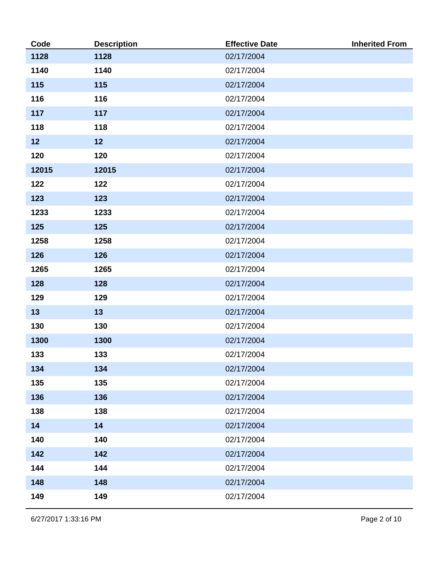| Code  | <b>Description</b> | <b>Effective Date</b> | <b>Inherited From</b> |
|-------|--------------------|-----------------------|-----------------------|
| 1128  | 1128               | 02/17/2004            |                       |
| 1140  | 1140               | 02/17/2004            |                       |
| 115   | 115                | 02/17/2004            |                       |
| 116   | 116                | 02/17/2004            |                       |
| 117   | 117                | 02/17/2004            |                       |
| 118   | 118                | 02/17/2004            |                       |
| 12    | 12                 | 02/17/2004            |                       |
| 120   | 120                | 02/17/2004            |                       |
| 12015 | 12015              | 02/17/2004            |                       |
| 122   | 122                | 02/17/2004            |                       |
| 123   | 123                | 02/17/2004            |                       |
| 1233  | 1233               | 02/17/2004            |                       |
| 125   | 125                | 02/17/2004            |                       |
| 1258  | 1258               | 02/17/2004            |                       |
| 126   | 126                | 02/17/2004            |                       |
| 1265  | 1265               | 02/17/2004            |                       |
| 128   | 128                | 02/17/2004            |                       |
| 129   | 129                | 02/17/2004            |                       |
| 13    | 13                 | 02/17/2004            |                       |
| 130   | 130                | 02/17/2004            |                       |
| 1300  | 1300               | 02/17/2004            |                       |
| 133   | 133                | 02/17/2004            |                       |
| 134   | 134                | 02/17/2004            |                       |
| 135   | 135                | 02/17/2004            |                       |
| 136   | 136                | 02/17/2004            |                       |
| 138   | 138                | 02/17/2004            |                       |
| 14    | 14                 | 02/17/2004            |                       |
| 140   | 140                | 02/17/2004            |                       |
| 142   | 142                | 02/17/2004            |                       |
| 144   | 144                | 02/17/2004            |                       |
| 148   | 148                | 02/17/2004            |                       |
| 149   | 149                | 02/17/2004            |                       |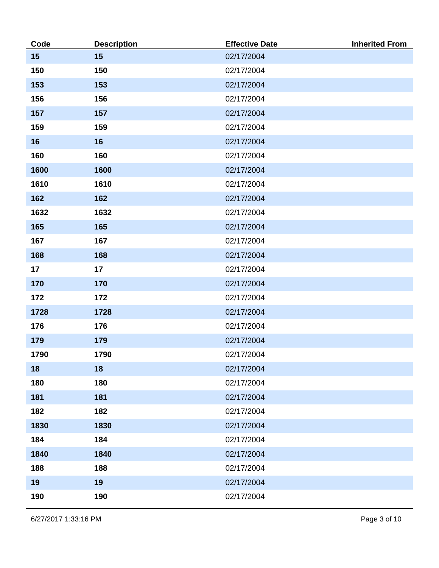| Code | <b>Description</b> | <b>Effective Date</b> | <b>Inherited From</b> |
|------|--------------------|-----------------------|-----------------------|
| 15   | 15                 | 02/17/2004            |                       |
| 150  | 150                | 02/17/2004            |                       |
| 153  | 153                | 02/17/2004            |                       |
| 156  | 156                | 02/17/2004            |                       |
| 157  | 157                | 02/17/2004            |                       |
| 159  | 159                | 02/17/2004            |                       |
| 16   | 16                 | 02/17/2004            |                       |
| 160  | 160                | 02/17/2004            |                       |
| 1600 | 1600               | 02/17/2004            |                       |
| 1610 | 1610               | 02/17/2004            |                       |
| 162  | 162                | 02/17/2004            |                       |
| 1632 | 1632               | 02/17/2004            |                       |
| 165  | 165                | 02/17/2004            |                       |
| 167  | 167                | 02/17/2004            |                       |
| 168  | 168                | 02/17/2004            |                       |
| 17   | 17                 | 02/17/2004            |                       |
| 170  | 170                | 02/17/2004            |                       |
| 172  | 172                | 02/17/2004            |                       |
| 1728 | 1728               | 02/17/2004            |                       |
| 176  | 176                | 02/17/2004            |                       |
| 179  | 179                | 02/17/2004            |                       |
| 1790 | 1790               | 02/17/2004            |                       |
| 18   | 18                 | 02/17/2004            |                       |
| 180  | 180                | 02/17/2004            |                       |
| 181  | 181                | 02/17/2004            |                       |
| 182  | 182                | 02/17/2004            |                       |
| 1830 | 1830               | 02/17/2004            |                       |
| 184  | 184                | 02/17/2004            |                       |
| 1840 | 1840               | 02/17/2004            |                       |
| 188  | 188                | 02/17/2004            |                       |
| 19   | 19                 | 02/17/2004            |                       |
| 190  | 190                | 02/17/2004            |                       |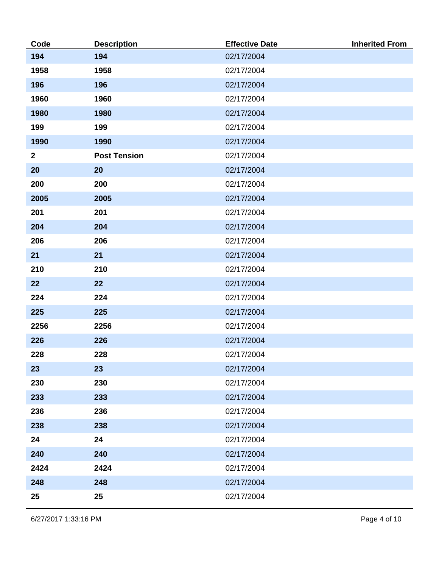| Code         | <b>Description</b>  | <b>Effective Date</b> | <b>Inherited From</b> |
|--------------|---------------------|-----------------------|-----------------------|
| 194          | 194                 | 02/17/2004            |                       |
| 1958         | 1958                | 02/17/2004            |                       |
| 196          | 196                 | 02/17/2004            |                       |
| 1960         | 1960                | 02/17/2004            |                       |
| 1980         | 1980                | 02/17/2004            |                       |
| 199          | 199                 | 02/17/2004            |                       |
| 1990         | 1990                | 02/17/2004            |                       |
| $\mathbf{2}$ | <b>Post Tension</b> | 02/17/2004            |                       |
| 20           | 20                  | 02/17/2004            |                       |
| 200          | 200                 | 02/17/2004            |                       |
| 2005         | 2005                | 02/17/2004            |                       |
| 201          | 201                 | 02/17/2004            |                       |
| 204          | 204                 | 02/17/2004            |                       |
| 206          | 206                 | 02/17/2004            |                       |
| 21           | 21                  | 02/17/2004            |                       |
| 210          | 210                 | 02/17/2004            |                       |
| 22           | 22                  | 02/17/2004            |                       |
| 224          | 224                 | 02/17/2004            |                       |
| 225          | 225                 | 02/17/2004            |                       |
| 2256         | 2256                | 02/17/2004            |                       |
| 226          | 226                 | 02/17/2004            |                       |
| 228          | 228                 | 02/17/2004            |                       |
| 23           | 23                  | 02/17/2004            |                       |
| 230          | 230                 | 02/17/2004            |                       |
| 233          | 233                 | 02/17/2004            |                       |
| 236          | 236                 | 02/17/2004            |                       |
| 238          | 238                 | 02/17/2004            |                       |
| 24           | 24                  | 02/17/2004            |                       |
| 240          | 240                 | 02/17/2004            |                       |
| 2424         | 2424                | 02/17/2004            |                       |
| 248          | 248                 | 02/17/2004            |                       |
| 25           | 25                  | 02/17/2004            |                       |

6/27/2017 1:33:16 PM Page 4 of 10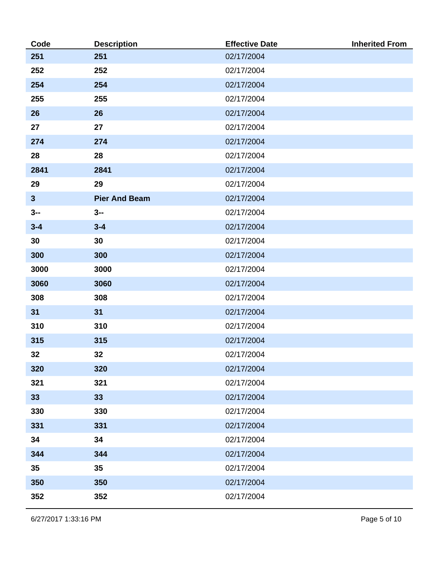| Code         | <b>Description</b>   | <b>Effective Date</b> | <b>Inherited From</b> |
|--------------|----------------------|-----------------------|-----------------------|
| 251          | 251                  | 02/17/2004            |                       |
| 252          | 252                  | 02/17/2004            |                       |
| 254          | 254                  | 02/17/2004            |                       |
| 255          | 255                  | 02/17/2004            |                       |
| 26           | 26                   | 02/17/2004            |                       |
| 27           | 27                   | 02/17/2004            |                       |
| 274          | 274                  | 02/17/2004            |                       |
| 28           | 28                   | 02/17/2004            |                       |
| 2841         | 2841                 | 02/17/2004            |                       |
| 29           | 29                   | 02/17/2004            |                       |
| $\mathbf{3}$ | <b>Pier And Beam</b> | 02/17/2004            |                       |
| $3 -$        | $3 -$                | 02/17/2004            |                       |
| $3 - 4$      | $3 - 4$              | 02/17/2004            |                       |
| 30           | 30                   | 02/17/2004            |                       |
| 300          | 300                  | 02/17/2004            |                       |
| 3000         | 3000                 | 02/17/2004            |                       |
| 3060         | 3060                 | 02/17/2004            |                       |
| 308          | 308                  | 02/17/2004            |                       |
| 31           | 31                   | 02/17/2004            |                       |
| 310          | 310                  | 02/17/2004            |                       |
| 315          | 315                  | 02/17/2004            |                       |
| 32           | 32                   | 02/17/2004            |                       |
| 320          | 320                  | 02/17/2004            |                       |
| 321          | 321                  | 02/17/2004            |                       |
| 33           | 33                   | 02/17/2004            |                       |
| 330          | 330                  | 02/17/2004            |                       |
| 331          | 331                  | 02/17/2004            |                       |
| 34           | 34                   | 02/17/2004            |                       |
| 344          | 344                  | 02/17/2004            |                       |
| 35           | 35                   | 02/17/2004            |                       |
| 350          | 350                  | 02/17/2004            |                       |
| 352          | 352                  | 02/17/2004            |                       |

6/27/2017 1:33:16 PM Page 5 of 10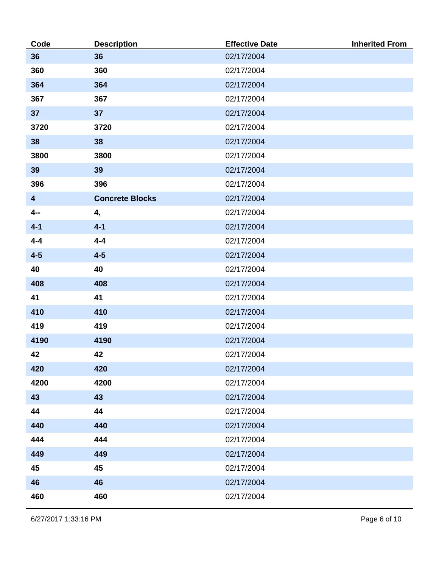| Code                    | <b>Description</b>     | <b>Effective Date</b> | <b>Inherited From</b> |
|-------------------------|------------------------|-----------------------|-----------------------|
| 36                      | 36                     | 02/17/2004            |                       |
| 360                     | 360                    | 02/17/2004            |                       |
| 364                     | 364                    | 02/17/2004            |                       |
| 367                     | 367                    | 02/17/2004            |                       |
| 37                      | 37                     | 02/17/2004            |                       |
| 3720                    | 3720                   | 02/17/2004            |                       |
| 38                      | 38                     | 02/17/2004            |                       |
| 3800                    | 3800                   | 02/17/2004            |                       |
| 39                      | 39                     | 02/17/2004            |                       |
| 396                     | 396                    | 02/17/2004            |                       |
| $\overline{\mathbf{4}}$ | <b>Concrete Blocks</b> | 02/17/2004            |                       |
| $4-$                    | 4,                     | 02/17/2004            |                       |
| $4 - 1$                 | $4 - 1$                | 02/17/2004            |                       |
| $4 - 4$                 | $4 - 4$                | 02/17/2004            |                       |
| $4 - 5$                 | $4-5$                  | 02/17/2004            |                       |
| 40                      | 40                     | 02/17/2004            |                       |
| 408                     | 408                    | 02/17/2004            |                       |
| 41                      | 41                     | 02/17/2004            |                       |
| 410                     | 410                    | 02/17/2004            |                       |
| 419                     | 419                    | 02/17/2004            |                       |
| 4190                    | 4190                   | 02/17/2004            |                       |
| 42                      | 42                     | 02/17/2004            |                       |
| 420                     | 420                    | 02/17/2004            |                       |
| 4200                    | 4200                   | 02/17/2004            |                       |
| 43                      | 43                     | 02/17/2004            |                       |
| 44                      | 44                     | 02/17/2004            |                       |
| 440                     | 440                    | 02/17/2004            |                       |
| 444                     | 444                    | 02/17/2004            |                       |
| 449                     | 449                    | 02/17/2004            |                       |
| 45                      | 45                     | 02/17/2004            |                       |
| 46                      | 46                     | 02/17/2004            |                       |
| 460                     | 460                    | 02/17/2004            |                       |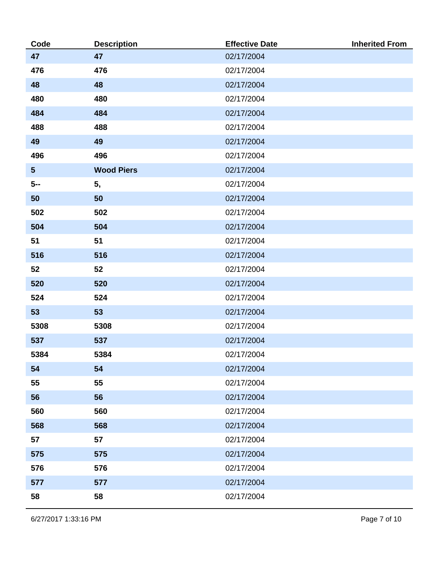| Code            | <b>Description</b> | <b>Effective Date</b> | <b>Inherited From</b> |
|-----------------|--------------------|-----------------------|-----------------------|
| 47              | 47                 | 02/17/2004            |                       |
| 476             | 476                | 02/17/2004            |                       |
| 48              | 48                 | 02/17/2004            |                       |
| 480             | 480                | 02/17/2004            |                       |
| 484             | 484                | 02/17/2004            |                       |
| 488             | 488                | 02/17/2004            |                       |
| 49              | 49                 | 02/17/2004            |                       |
| 496             | 496                | 02/17/2004            |                       |
| $5\phantom{.0}$ | <b>Wood Piers</b>  | 02/17/2004            |                       |
| $5-$            | 5,                 | 02/17/2004            |                       |
| 50              | 50                 | 02/17/2004            |                       |
| 502             | 502                | 02/17/2004            |                       |
| 504             | 504                | 02/17/2004            |                       |
| 51              | 51                 | 02/17/2004            |                       |
| 516             | 516                | 02/17/2004            |                       |
| 52              | 52                 | 02/17/2004            |                       |
| 520             | 520                | 02/17/2004            |                       |
| 524             | 524                | 02/17/2004            |                       |
| 53              | 53                 | 02/17/2004            |                       |
| 5308            | 5308               | 02/17/2004            |                       |
| 537             | 537                | 02/17/2004            |                       |
| 5384            | 5384               | 02/17/2004            |                       |
| 54              | 54                 | 02/17/2004            |                       |
| 55              | 55                 | 02/17/2004            |                       |
| 56              | 56                 | 02/17/2004            |                       |
| 560             | 560                | 02/17/2004            |                       |
| 568             | 568                | 02/17/2004            |                       |
| 57              | 57                 | 02/17/2004            |                       |
| 575             | 575                | 02/17/2004            |                       |
| 576             | 576                | 02/17/2004            |                       |
| 577             | 577                | 02/17/2004            |                       |
| 58              | 58                 | 02/17/2004            |                       |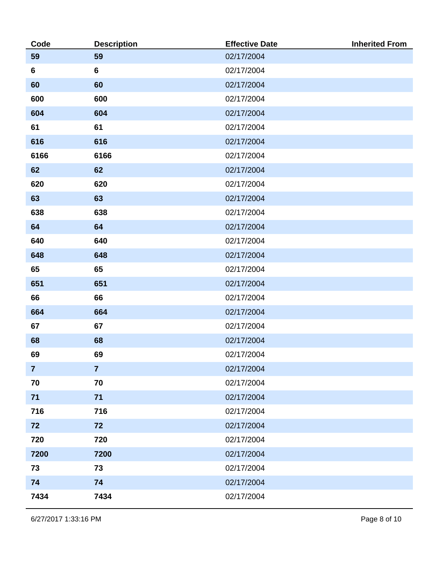| Code           | <b>Description</b> | <b>Effective Date</b> | <b>Inherited From</b> |
|----------------|--------------------|-----------------------|-----------------------|
| 59             | 59                 | 02/17/2004            |                       |
| $6\phantom{1}$ | $6\phantom{a}$     | 02/17/2004            |                       |
| 60             | 60                 | 02/17/2004            |                       |
| 600            | 600                | 02/17/2004            |                       |
| 604            | 604                | 02/17/2004            |                       |
| 61             | 61                 | 02/17/2004            |                       |
| 616            | 616                | 02/17/2004            |                       |
| 6166           | 6166               | 02/17/2004            |                       |
| 62             | 62                 | 02/17/2004            |                       |
| 620            | 620                | 02/17/2004            |                       |
| 63             | 63                 | 02/17/2004            |                       |
| 638            | 638                | 02/17/2004            |                       |
| 64             | 64                 | 02/17/2004            |                       |
| 640            | 640                | 02/17/2004            |                       |
| 648            | 648                | 02/17/2004            |                       |
| 65             | 65                 | 02/17/2004            |                       |
| 651            | 651                | 02/17/2004            |                       |
| 66             | 66                 | 02/17/2004            |                       |
| 664            | 664                | 02/17/2004            |                       |
| 67             | 67                 | 02/17/2004            |                       |
| 68             | 68                 | 02/17/2004            |                       |
| 69             | 69                 | 02/17/2004            |                       |
| $\overline{7}$ | $\overline{7}$     | 02/17/2004            |                       |
| 70             | 70                 | 02/17/2004            |                       |
| 71             | 71                 | 02/17/2004            |                       |
| 716            | 716                | 02/17/2004            |                       |
| 72             | 72                 | 02/17/2004            |                       |
| 720            | 720                | 02/17/2004            |                       |
| 7200           | 7200               | 02/17/2004            |                       |
| 73             | 73                 | 02/17/2004            |                       |
| 74             | 74                 | 02/17/2004            |                       |
| 7434           | 7434               | 02/17/2004            |                       |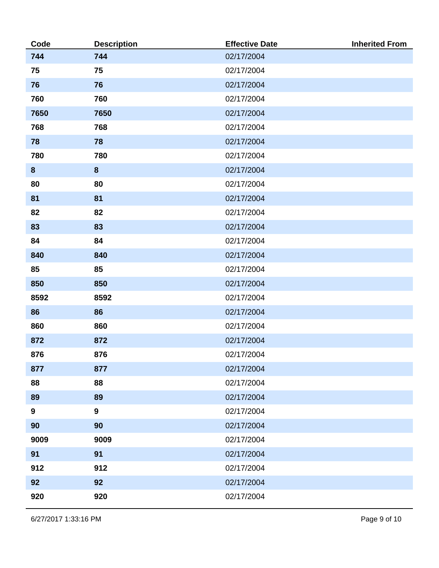| Code             | <b>Description</b> | <b>Effective Date</b> | <b>Inherited From</b> |
|------------------|--------------------|-----------------------|-----------------------|
| 744              | 744                | 02/17/2004            |                       |
| 75               | 75                 | 02/17/2004            |                       |
| 76               | 76                 | 02/17/2004            |                       |
| 760              | 760                | 02/17/2004            |                       |
| 7650             | 7650               | 02/17/2004            |                       |
| 768              | 768                | 02/17/2004            |                       |
| 78               | 78                 | 02/17/2004            |                       |
| 780              | 780                | 02/17/2004            |                       |
| $\boldsymbol{8}$ | $\boldsymbol{8}$   | 02/17/2004            |                       |
| 80               | 80                 | 02/17/2004            |                       |
| 81               | 81                 | 02/17/2004            |                       |
| 82               | 82                 | 02/17/2004            |                       |
| 83               | 83                 | 02/17/2004            |                       |
| 84               | 84                 | 02/17/2004            |                       |
| 840              | 840                | 02/17/2004            |                       |
| 85               | 85                 | 02/17/2004            |                       |
| 850              | 850                | 02/17/2004            |                       |
| 8592             | 8592               | 02/17/2004            |                       |
| 86               | 86                 | 02/17/2004            |                       |
| 860              | 860                | 02/17/2004            |                       |
| 872              | 872                | 02/17/2004            |                       |
| 876              | 876                | 02/17/2004            |                       |
| 877              | 877                | 02/17/2004            |                       |
| 88               | 88                 | 02/17/2004            |                       |
| 89               | 89                 | 02/17/2004            |                       |
| $\boldsymbol{9}$ | $\overline{9}$     | 02/17/2004            |                       |
| 90               | 90                 | 02/17/2004            |                       |
| 9009             | 9009               | 02/17/2004            |                       |
| 91               | 91                 | 02/17/2004            |                       |
| 912              | 912                | 02/17/2004            |                       |
| 92               | 92                 | 02/17/2004            |                       |
| 920              | 920                | 02/17/2004            |                       |

6/27/2017 1:33:16 PM Page 9 of 10